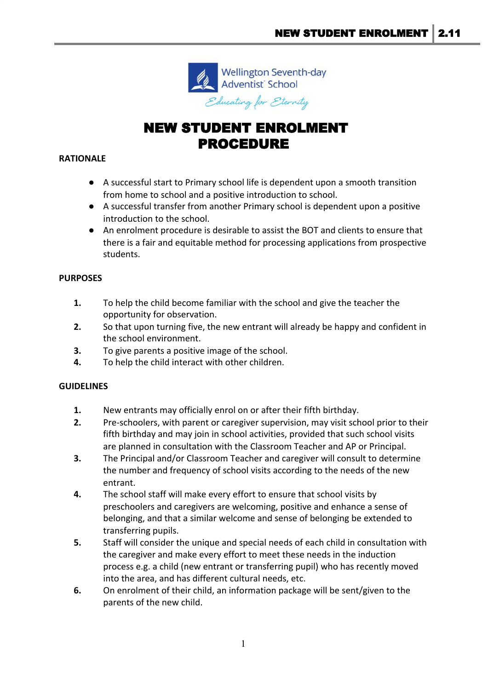

# NEW STUDENT ENROLMENT PROCEDURE

#### **RATIONALE**

- A successful start to Primary school life is dependent upon a smooth transition from home to school and a positive introduction to school.
- A successful transfer from another Primary school is dependent upon a positive introduction to the school.
- An enrolment procedure is desirable to assist the BOT and clients to ensure that there is a fair and equitable method for processing applications from prospective students.

#### **PURPOSES**

- **1.** To help the child become familiar with the school and give the teacher the opportunity for observation.
- **2.** So that upon turning five, the new entrant will already be happy and confident in the school environment.
- **3.** To give parents a positive image of the school.
- **4.** To help the child interact with other children.

#### **GUIDELINES**

- **1.** New entrants may officially enrol on or after their fifth birthday.
- **2.** Pre-schoolers, with parent or caregiver supervision, may visit school prior to their fifth birthday and may join in school activities, provided that such school visits are planned in consultation with the Classroom Teacher and AP or Principal.
- **3.** The Principal and/or Classroom Teacher and caregiver will consult to determine the number and frequency of school visits according to the needs of the new entrant.
- **4.** The school staff will make every effort to ensure that school visits by preschoolers and caregivers are welcoming, positive and enhance a sense of belonging, and that a similar welcome and sense of belonging be extended to transferring pupils.
- **5.** Staff will consider the unique and special needs of each child in consultation with the caregiver and make every effort to meet these needs in the induction process e.g. a child (new entrant or transferring pupil) who has recently moved into the area, and has different cultural needs, etc.
- **6.** On enrolment of their child, an information package will be sent/given to the parents of the new child.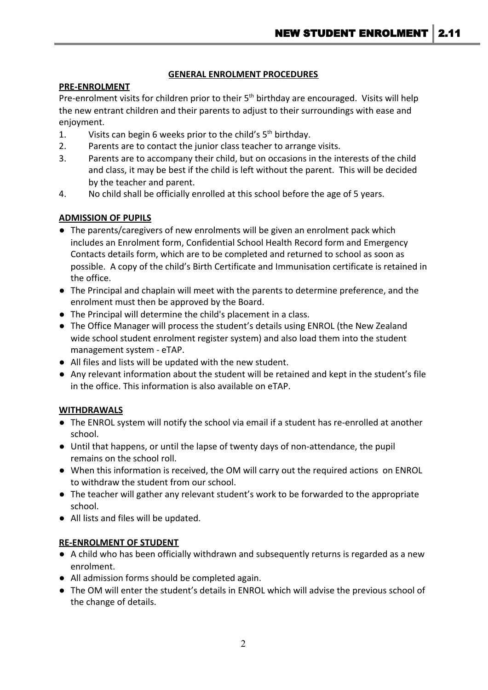## **GENERAL ENROLMENT PROCEDURES**

## **PRE-ENROLMENT**

Pre-enrolment visits for children prior to their 5<sup>th</sup> birthday are encouraged. Visits will help the new entrant children and their parents to adjust to their surroundings with ease and enjoyment.

- 1. Visits can begin 6 weeks prior to the child's  $5<sup>th</sup>$  birthday.
- 2. Parents are to contact the junior class teacher to arrange visits.
- 3. Parents are to accompany their child, but on occasions in the interests of the child and class, it may be best if the child is left without the parent. This will be decided by the teacher and parent.
- 4. No child shall be officially enrolled at this school before the age of 5 years.

# **ADMISSION OF PUPILS**

- The parents/caregivers of new enrolments will be given an enrolment pack which includes an Enrolment form, Confidential School Health Record form and Emergency Contacts details form, which are to be completed and returned to school as soon as possible. A copy of the child's Birth Certificate and Immunisation certificate is retained in the office.
- The Principal and chaplain will meet with the parents to determine preference, and the enrolment must then be approved by the Board.
- The Principal will determine the child's placement in a class.
- The Office Manager will process the student's details using ENROL (the New Zealand wide school student enrolment register system) and also load them into the student management system - eTAP.
- All files and lists will be updated with the new student.
- Any relevant information about the student will be retained and kept in the student's file in the office. This information is also available on eTAP.

### **WITHDRAWALS**

- The ENROL system will notify the school via email if a student has re-enrolled at another school.
- Until that happens, or until the lapse of twenty days of non-attendance, the pupil remains on the school roll.
- When this information is received, the OM will carry out the required actions on ENROL to withdraw the student from our school.
- The teacher will gather any relevant student's work to be forwarded to the appropriate school.
- All lists and files will be updated.

### **RE-ENROLMENT OF STUDENT**

- A child who has been officially withdrawn and subsequently returns is regarded as a new enrolment.
- All admission forms should be completed again.
- The OM will enter the student's details in ENROL which will advise the previous school of the change of details.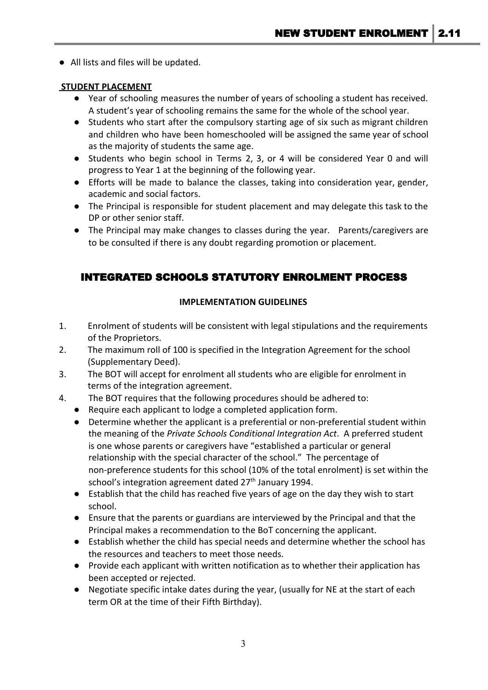● All lists and files will be updated.

#### **STUDENT PLACEMENT**

- Year of schooling measures the number of years of schooling a student has received. A student's year of schooling remains the same for the whole of the school year.
- Students who start after the compulsory starting age of six such as migrant children and children who have been homeschooled will be assigned the same year of school as the majority of students the same age.
- Students who begin school in Terms 2, 3, or 4 will be considered Year 0 and will progress to Year 1 at the beginning of the following year.
- Efforts will be made to balance the classes, taking into consideration year, gender, academic and social factors.
- The Principal is responsible for student placement and may delegate this task to the DP or other senior staff.
- The Principal may make changes to classes during the year. Parents/caregivers are to be consulted if there is any doubt regarding promotion or placement.

# INTEGRATED SCHOOLS STATUTORY ENROLMENT PROCESS

### **IMPLEMENTATION GUIDELINES**

- 1. Enrolment of students will be consistent with legal stipulations and the requirements of the Proprietors.
- 2. The maximum roll of 100 is specified in the Integration Agreement for the school (Supplementary Deed).
- 3. The BOT will accept for enrolment all students who are eligible for enrolment in terms of the integration agreement.
- 4. The BOT requires that the following procedures should be adhered to:
	- Require each applicant to lodge a completed application form.
	- Determine whether the applicant is a preferential or non-preferential student within the meaning of the *Private Schools Conditional Integration Act*. A preferred student is one whose parents or caregivers have "established a particular or general relationship with the special character of the school." The percentage of non-preference students for this school (10% of the total enrolment) is set within the school's integration agreement dated 27<sup>th</sup> January 1994.
	- Establish that the child has reached five years of age on the day they wish to start school.
	- Ensure that the parents or guardians are interviewed by the Principal and that the Principal makes a recommendation to the BoT concerning the applicant.
	- Establish whether the child has special needs and determine whether the school has the resources and teachers to meet those needs.
	- Provide each applicant with written notification as to whether their application has been accepted or rejected.
	- Negotiate specific intake dates during the year, (usually for NE at the start of each term OR at the time of their Fifth Birthday).